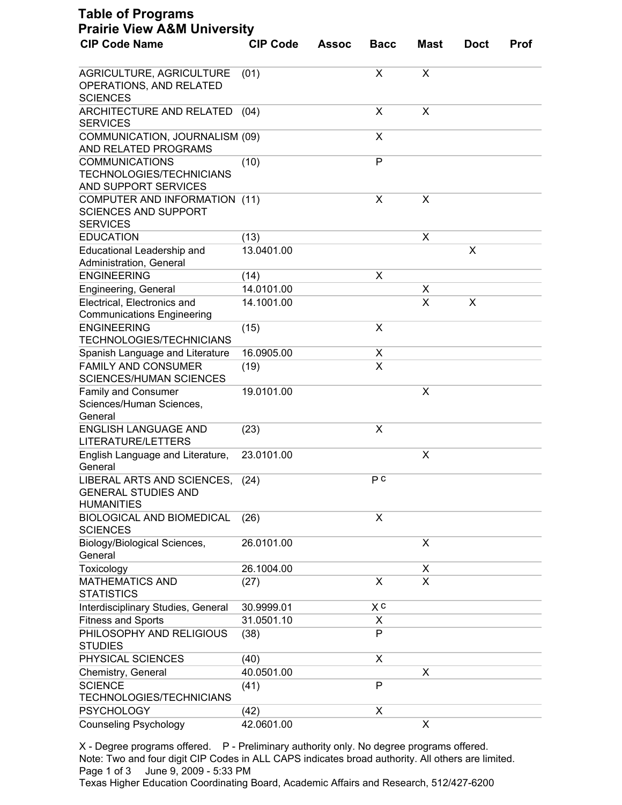| <b>CIP Code Name</b>                                                             | <b>CIP Code</b> | <b>Assoc</b> | <b>Bacc</b>  | <b>Mast</b> | <b>Doct</b> | <b>Prof</b> |
|----------------------------------------------------------------------------------|-----------------|--------------|--------------|-------------|-------------|-------------|
|                                                                                  |                 |              |              |             |             |             |
| AGRICULTURE, AGRICULTURE<br>OPERATIONS, AND RELATED<br><b>SCIENCES</b>           | (01)            |              | X            | X           |             |             |
| ARCHITECTURE AND RELATED<br><b>SERVICES</b>                                      | (04)            |              | X            | X           |             |             |
| COMMUNICATION, JOURNALISM (09)<br>AND RELATED PROGRAMS                           |                 |              | X            |             |             |             |
| <b>COMMUNICATIONS</b><br><b>TECHNOLOGIES/TECHNICIANS</b><br>AND SUPPORT SERVICES | (10)            |              | $\mathsf{P}$ |             |             |             |
| COMPUTER AND INFORMATION (11)<br><b>SCIENCES AND SUPPORT</b><br><b>SERVICES</b>  |                 |              | X            | X           |             |             |
| <b>EDUCATION</b>                                                                 | (13)            |              |              | х           |             |             |
| Educational Leadership and<br>Administration, General                            | 13.0401.00      |              |              |             | X           |             |
| <b>ENGINEERING</b>                                                               | (14)            |              | X            |             |             |             |
| Engineering, General                                                             | 14.0101.00      |              |              | х           |             |             |
| Electrical, Electronics and<br><b>Communications Engineering</b>                 | 14.1001.00      |              |              | X           | X           |             |
| <b>ENGINEERING</b><br><b>TECHNOLOGIES/TECHNICIANS</b>                            | (15)            |              | X            |             |             |             |
| Spanish Language and Literature                                                  | 16.0905.00      |              | X            |             |             |             |
| <b>FAMILY AND CONSUMER</b><br><b>SCIENCES/HUMAN SCIENCES</b>                     | (19)            |              | X            |             |             |             |
| <b>Family and Consumer</b><br>Sciences/Human Sciences,<br>General                | 19.0101.00      |              |              | X           |             |             |
| <b>ENGLISH LANGUAGE AND</b><br>LITERATURE/LETTERS                                | (23)            |              | X            |             |             |             |
| English Language and Literature,<br>General                                      | 23.0101.00      |              |              | Χ           |             |             |
| LIBERAL ARTS AND SCIENCES,<br><b>GENERAL STUDIES AND</b><br><b>HUMANITIES</b>    | (24)            |              | PC           |             |             |             |
| <b>BIOLOGICAL AND BIOMEDICAL</b><br><b>SCIENCES</b>                              | (26)            |              | X            |             |             |             |
| Biology/Biological Sciences,<br>General                                          | 26.0101.00      |              |              | X           |             |             |
| Toxicology                                                                       | 26.1004.00      |              |              | X           |             |             |
| <b>MATHEMATICS AND</b><br><b>STATISTICS</b>                                      | (27)            |              | X            | X           |             |             |
| Interdisciplinary Studies, General                                               | 30.9999.01      |              | X c          |             |             |             |
| <b>Fitness and Sports</b>                                                        | 31.0501.10      |              | X            |             |             |             |
| PHILOSOPHY AND RELIGIOUS<br><b>STUDIES</b>                                       | (38)            |              | P            |             |             |             |
| PHYSICAL SCIENCES                                                                | (40)            |              | X            |             |             |             |
| Chemistry, General                                                               | 40.0501.00      |              |              | Χ           |             |             |
| <b>SCIENCE</b><br><b>TECHNOLOGIES/TECHNICIANS</b>                                | (41)            |              | P            |             |             |             |
| <b>PSYCHOLOGY</b>                                                                | (42)            |              | X            |             |             |             |
| <b>Counseling Psychology</b>                                                     | 42.0601.00      |              |              | X           |             |             |

X - Degree programs offered. P - Preliminary authority only. No degree programs offered. Note: Two and four digit CIP Codes in ALL CAPS indicates broad authority. All others are limited. Page 1 of 3 June 9, 2009 - 5:33 PM

Texas Higher Education Coordinating Board, Academic Affairs and Research, 512/427-6200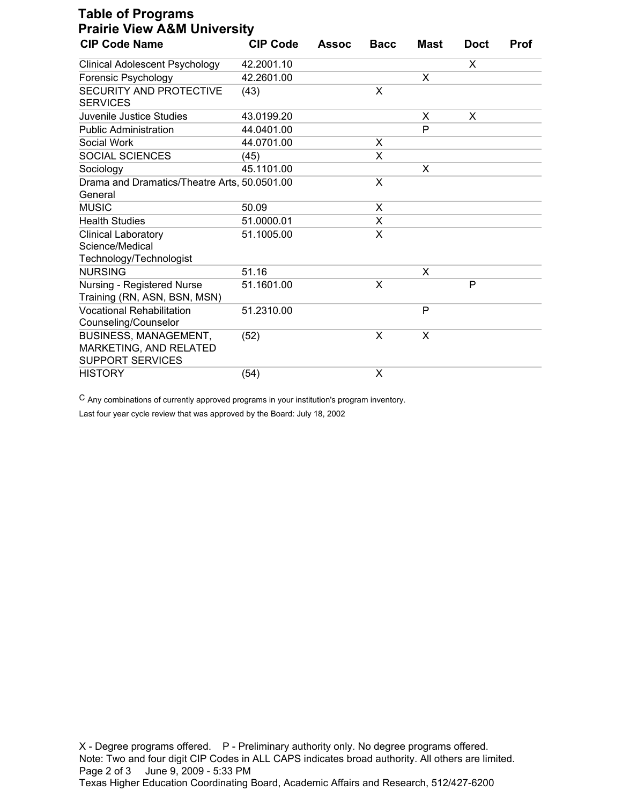| <b>Table of Programs</b><br><b>Prairie View A&amp;M University</b>                |                 |              |             |      |             |             |  |  |
|-----------------------------------------------------------------------------------|-----------------|--------------|-------------|------|-------------|-------------|--|--|
| <b>CIP Code Name</b>                                                              | <b>CIP Code</b> | <b>Assoc</b> | <b>Bacc</b> | Mast | <b>Doct</b> | <b>Prof</b> |  |  |
| <b>Clinical Adolescent Psychology</b>                                             | 42.2001.10      |              |             |      | X           |             |  |  |
| Forensic Psychology                                                               | 42.2601.00      |              |             | X    |             |             |  |  |
| SECURITY AND PROTECTIVE<br><b>SERVICES</b>                                        | (43)            |              | X           |      |             |             |  |  |
| Juvenile Justice Studies                                                          | 43.0199.20      |              |             | X    | X           |             |  |  |
| <b>Public Administration</b>                                                      | 44.0401.00      |              |             | P    |             |             |  |  |
| Social Work                                                                       | 44.0701.00      |              | X           |      |             |             |  |  |
| SOCIAL SCIENCES                                                                   | (45)            |              | X           |      |             |             |  |  |
| Sociology                                                                         | 45.1101.00      |              |             | X    |             |             |  |  |
| Drama and Dramatics/Theatre Arts, 50.0501.00<br>General                           |                 |              | X           |      |             |             |  |  |
| <b>MUSIC</b>                                                                      | 50.09           |              | X           |      |             |             |  |  |
| <b>Health Studies</b>                                                             | 51.0000.01      |              | X           |      |             |             |  |  |
| <b>Clinical Laboratory</b><br>Science/Medical<br>Technology/Technologist          | 51.1005.00      |              | X           |      |             |             |  |  |
| <b>NURSING</b>                                                                    | 51.16           |              |             | X    |             |             |  |  |
| Nursing - Registered Nurse<br>Training (RN, ASN, BSN, MSN)                        | 51.1601.00      |              | X           |      | P           |             |  |  |
| <b>Vocational Rehabilitation</b><br>Counseling/Counselor                          | 51.2310.00      |              |             | P    |             |             |  |  |
| <b>BUSINESS, MANAGEMENT,</b><br>MARKETING, AND RELATED<br><b>SUPPORT SERVICES</b> | (52)            |              | X           | X    |             |             |  |  |
| <b>HISTORY</b>                                                                    | (54)            |              | X           |      |             |             |  |  |

C Any combinations of currently approved programs in your institution's program inventory.

Last four year cycle review that was approved by the Board: July 18, 2002

X - Degree programs offered. P - Preliminary authority only. No degree programs offered. Note: Two and four digit CIP Codes in ALL CAPS indicates broad authority. All others are limited. Page 2 of 3 June 9, 2009 - 5:33 PM Texas Higher Education Coordinating Board, Academic Affairs and Research, 512/427-6200